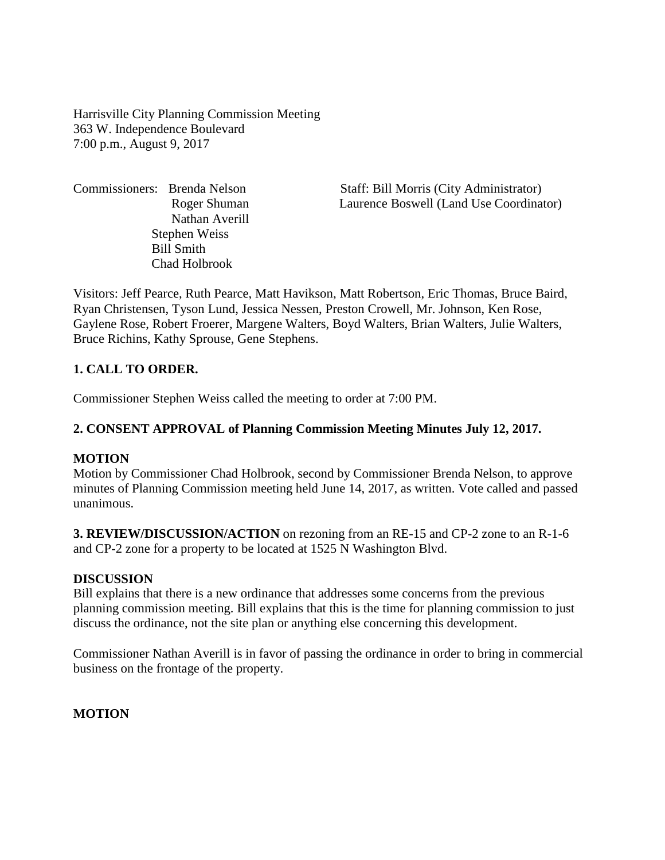Harrisville City Planning Commission Meeting 363 W. Independence Boulevard 7:00 p.m., August 9, 2017

Nathan Averill Stephen Weiss Bill Smith Chad Holbrook

Commissioners: Brenda Nelson Staff: Bill Morris (City Administrator) Roger Shuman Laurence Boswell (Land Use Coordinator)

Visitors: Jeff Pearce, Ruth Pearce, Matt Havikson, Matt Robertson, Eric Thomas, Bruce Baird, Ryan Christensen, Tyson Lund, Jessica Nessen, Preston Crowell, Mr. Johnson, Ken Rose, Gaylene Rose, Robert Froerer, Margene Walters, Boyd Walters, Brian Walters, Julie Walters, Bruce Richins, Kathy Sprouse, Gene Stephens.

### **1. CALL TO ORDER.**

Commissioner Stephen Weiss called the meeting to order at 7:00 PM.

#### **2. CONSENT APPROVAL of Planning Commission Meeting Minutes July 12, 2017.**

#### **MOTION**

Motion by Commissioner Chad Holbrook, second by Commissioner Brenda Nelson, to approve minutes of Planning Commission meeting held June 14, 2017, as written. Vote called and passed unanimous.

**3. REVIEW/DISCUSSION/ACTION** on rezoning from an RE-15 and CP-2 zone to an R-1-6 and CP-2 zone for a property to be located at 1525 N Washington Blvd.

#### **DISCUSSION**

Bill explains that there is a new ordinance that addresses some concerns from the previous planning commission meeting. Bill explains that this is the time for planning commission to just discuss the ordinance, not the site plan or anything else concerning this development.

Commissioner Nathan Averill is in favor of passing the ordinance in order to bring in commercial business on the frontage of the property.

### **MOTION**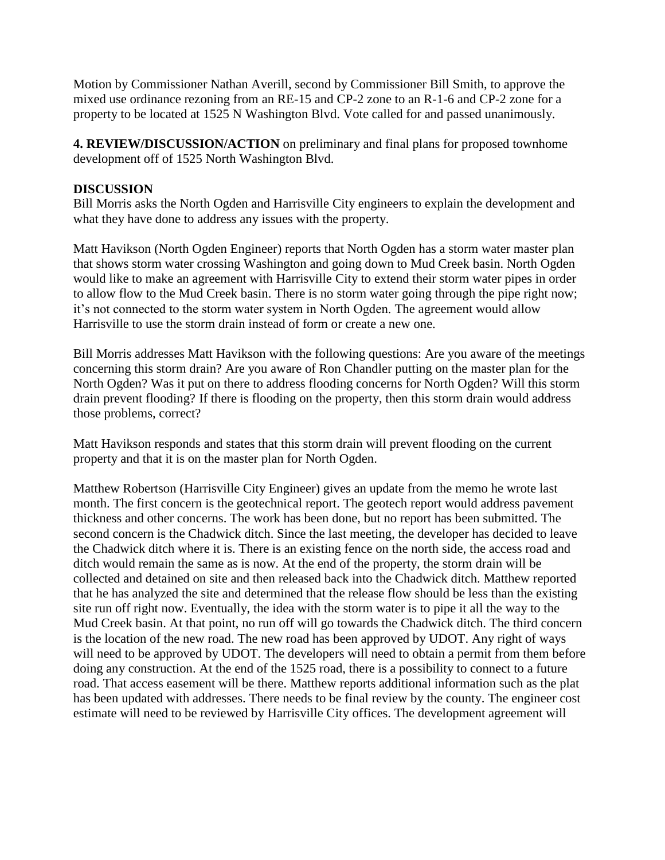Motion by Commissioner Nathan Averill, second by Commissioner Bill Smith, to approve the mixed use ordinance rezoning from an RE-15 and CP-2 zone to an R-1-6 and CP-2 zone for a property to be located at 1525 N Washington Blvd. Vote called for and passed unanimously.

**4. REVIEW/DISCUSSION/ACTION** on preliminary and final plans for proposed townhome development off of 1525 North Washington Blvd.

## **DISCUSSION**

Bill Morris asks the North Ogden and Harrisville City engineers to explain the development and what they have done to address any issues with the property.

Matt Havikson (North Ogden Engineer) reports that North Ogden has a storm water master plan that shows storm water crossing Washington and going down to Mud Creek basin. North Ogden would like to make an agreement with Harrisville City to extend their storm water pipes in order to allow flow to the Mud Creek basin. There is no storm water going through the pipe right now; it's not connected to the storm water system in North Ogden. The agreement would allow Harrisville to use the storm drain instead of form or create a new one.

Bill Morris addresses Matt Havikson with the following questions: Are you aware of the meetings concerning this storm drain? Are you aware of Ron Chandler putting on the master plan for the North Ogden? Was it put on there to address flooding concerns for North Ogden? Will this storm drain prevent flooding? If there is flooding on the property, then this storm drain would address those problems, correct?

Matt Havikson responds and states that this storm drain will prevent flooding on the current property and that it is on the master plan for North Ogden.

Matthew Robertson (Harrisville City Engineer) gives an update from the memo he wrote last month. The first concern is the geotechnical report. The geotech report would address pavement thickness and other concerns. The work has been done, but no report has been submitted. The second concern is the Chadwick ditch. Since the last meeting, the developer has decided to leave the Chadwick ditch where it is. There is an existing fence on the north side, the access road and ditch would remain the same as is now. At the end of the property, the storm drain will be collected and detained on site and then released back into the Chadwick ditch. Matthew reported that he has analyzed the site and determined that the release flow should be less than the existing site run off right now. Eventually, the idea with the storm water is to pipe it all the way to the Mud Creek basin. At that point, no run off will go towards the Chadwick ditch. The third concern is the location of the new road. The new road has been approved by UDOT. Any right of ways will need to be approved by UDOT. The developers will need to obtain a permit from them before doing any construction. At the end of the 1525 road, there is a possibility to connect to a future road. That access easement will be there. Matthew reports additional information such as the plat has been updated with addresses. There needs to be final review by the county. The engineer cost estimate will need to be reviewed by Harrisville City offices. The development agreement will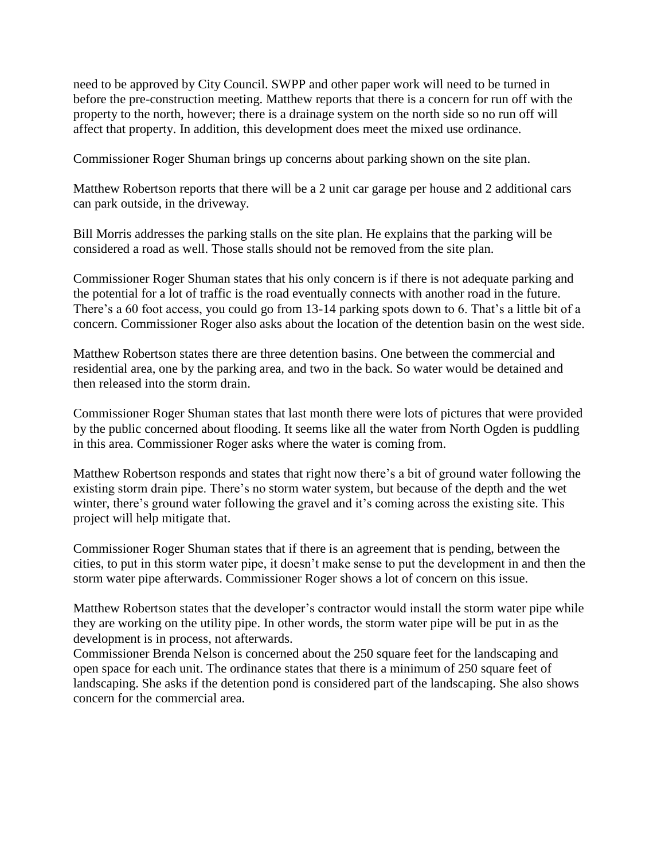need to be approved by City Council. SWPP and other paper work will need to be turned in before the pre-construction meeting. Matthew reports that there is a concern for run off with the property to the north, however; there is a drainage system on the north side so no run off will affect that property. In addition, this development does meet the mixed use ordinance.

Commissioner Roger Shuman brings up concerns about parking shown on the site plan.

Matthew Robertson reports that there will be a 2 unit car garage per house and 2 additional cars can park outside, in the driveway.

Bill Morris addresses the parking stalls on the site plan. He explains that the parking will be considered a road as well. Those stalls should not be removed from the site plan.

Commissioner Roger Shuman states that his only concern is if there is not adequate parking and the potential for a lot of traffic is the road eventually connects with another road in the future. There's a 60 foot access, you could go from 13-14 parking spots down to 6. That's a little bit of a concern. Commissioner Roger also asks about the location of the detention basin on the west side.

Matthew Robertson states there are three detention basins. One between the commercial and residential area, one by the parking area, and two in the back. So water would be detained and then released into the storm drain.

Commissioner Roger Shuman states that last month there were lots of pictures that were provided by the public concerned about flooding. It seems like all the water from North Ogden is puddling in this area. Commissioner Roger asks where the water is coming from.

Matthew Robertson responds and states that right now there's a bit of ground water following the existing storm drain pipe. There's no storm water system, but because of the depth and the wet winter, there's ground water following the gravel and it's coming across the existing site. This project will help mitigate that.

Commissioner Roger Shuman states that if there is an agreement that is pending, between the cities, to put in this storm water pipe, it doesn't make sense to put the development in and then the storm water pipe afterwards. Commissioner Roger shows a lot of concern on this issue.

Matthew Robertson states that the developer's contractor would install the storm water pipe while they are working on the utility pipe. In other words, the storm water pipe will be put in as the development is in process, not afterwards.

Commissioner Brenda Nelson is concerned about the 250 square feet for the landscaping and open space for each unit. The ordinance states that there is a minimum of 250 square feet of landscaping. She asks if the detention pond is considered part of the landscaping. She also shows concern for the commercial area.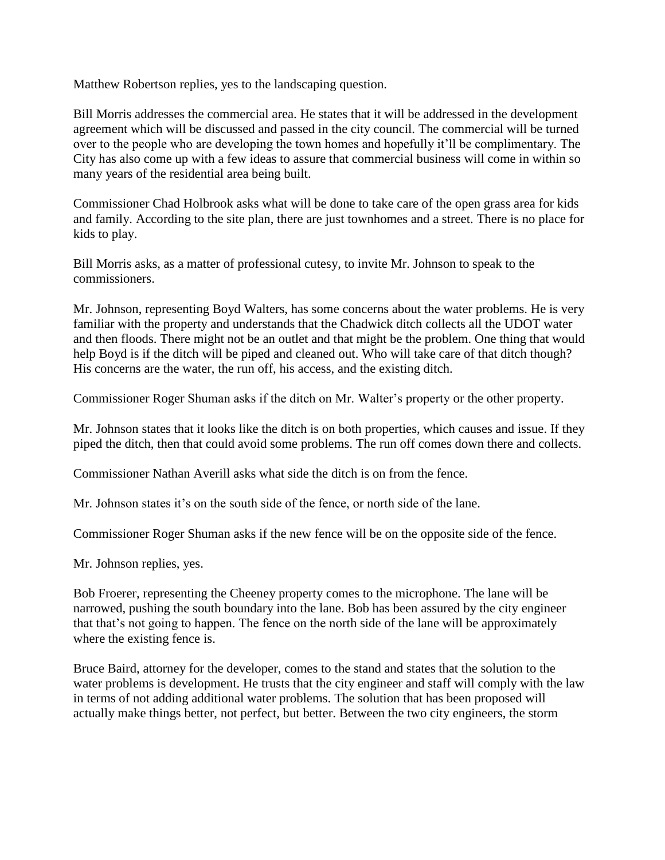Matthew Robertson replies, yes to the landscaping question.

Bill Morris addresses the commercial area. He states that it will be addressed in the development agreement which will be discussed and passed in the city council. The commercial will be turned over to the people who are developing the town homes and hopefully it'll be complimentary. The City has also come up with a few ideas to assure that commercial business will come in within so many years of the residential area being built.

Commissioner Chad Holbrook asks what will be done to take care of the open grass area for kids and family. According to the site plan, there are just townhomes and a street. There is no place for kids to play.

Bill Morris asks, as a matter of professional cutesy, to invite Mr. Johnson to speak to the commissioners.

Mr. Johnson, representing Boyd Walters, has some concerns about the water problems. He is very familiar with the property and understands that the Chadwick ditch collects all the UDOT water and then floods. There might not be an outlet and that might be the problem. One thing that would help Boyd is if the ditch will be piped and cleaned out. Who will take care of that ditch though? His concerns are the water, the run off, his access, and the existing ditch.

Commissioner Roger Shuman asks if the ditch on Mr. Walter's property or the other property.

Mr. Johnson states that it looks like the ditch is on both properties, which causes and issue. If they piped the ditch, then that could avoid some problems. The run off comes down there and collects.

Commissioner Nathan Averill asks what side the ditch is on from the fence.

Mr. Johnson states it's on the south side of the fence, or north side of the lane.

Commissioner Roger Shuman asks if the new fence will be on the opposite side of the fence.

Mr. Johnson replies, yes.

Bob Froerer, representing the Cheeney property comes to the microphone. The lane will be narrowed, pushing the south boundary into the lane. Bob has been assured by the city engineer that that's not going to happen. The fence on the north side of the lane will be approximately where the existing fence is.

Bruce Baird, attorney for the developer, comes to the stand and states that the solution to the water problems is development. He trusts that the city engineer and staff will comply with the law in terms of not adding additional water problems. The solution that has been proposed will actually make things better, not perfect, but better. Between the two city engineers, the storm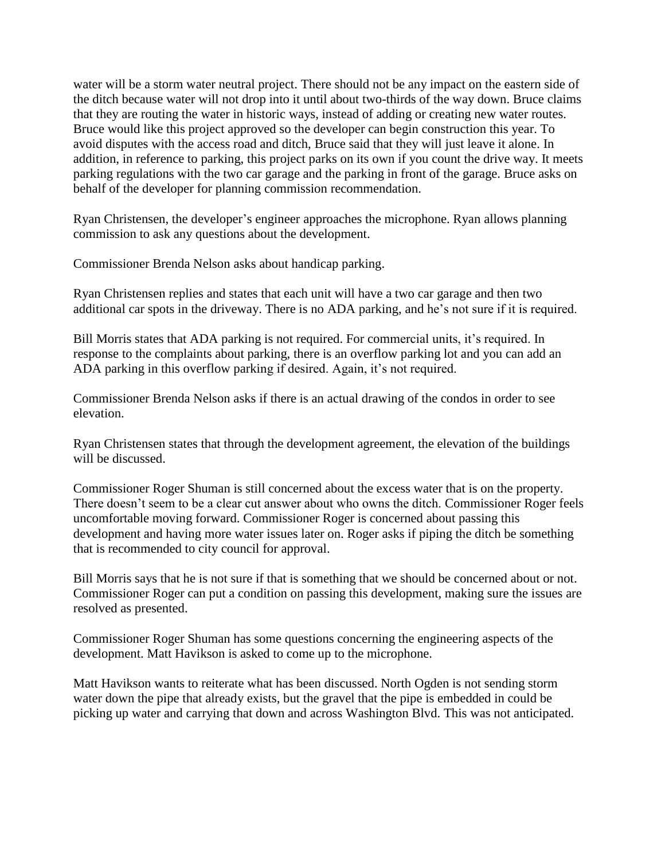water will be a storm water neutral project. There should not be any impact on the eastern side of the ditch because water will not drop into it until about two-thirds of the way down. Bruce claims that they are routing the water in historic ways, instead of adding or creating new water routes. Bruce would like this project approved so the developer can begin construction this year. To avoid disputes with the access road and ditch, Bruce said that they will just leave it alone. In addition, in reference to parking, this project parks on its own if you count the drive way. It meets parking regulations with the two car garage and the parking in front of the garage. Bruce asks on behalf of the developer for planning commission recommendation.

Ryan Christensen, the developer's engineer approaches the microphone. Ryan allows planning commission to ask any questions about the development.

Commissioner Brenda Nelson asks about handicap parking.

Ryan Christensen replies and states that each unit will have a two car garage and then two additional car spots in the driveway. There is no ADA parking, and he's not sure if it is required.

Bill Morris states that ADA parking is not required. For commercial units, it's required. In response to the complaints about parking, there is an overflow parking lot and you can add an ADA parking in this overflow parking if desired. Again, it's not required.

Commissioner Brenda Nelson asks if there is an actual drawing of the condos in order to see elevation.

Ryan Christensen states that through the development agreement, the elevation of the buildings will be discussed.

Commissioner Roger Shuman is still concerned about the excess water that is on the property. There doesn't seem to be a clear cut answer about who owns the ditch. Commissioner Roger feels uncomfortable moving forward. Commissioner Roger is concerned about passing this development and having more water issues later on. Roger asks if piping the ditch be something that is recommended to city council for approval.

Bill Morris says that he is not sure if that is something that we should be concerned about or not. Commissioner Roger can put a condition on passing this development, making sure the issues are resolved as presented.

Commissioner Roger Shuman has some questions concerning the engineering aspects of the development. Matt Havikson is asked to come up to the microphone.

Matt Havikson wants to reiterate what has been discussed. North Ogden is not sending storm water down the pipe that already exists, but the gravel that the pipe is embedded in could be picking up water and carrying that down and across Washington Blvd. This was not anticipated.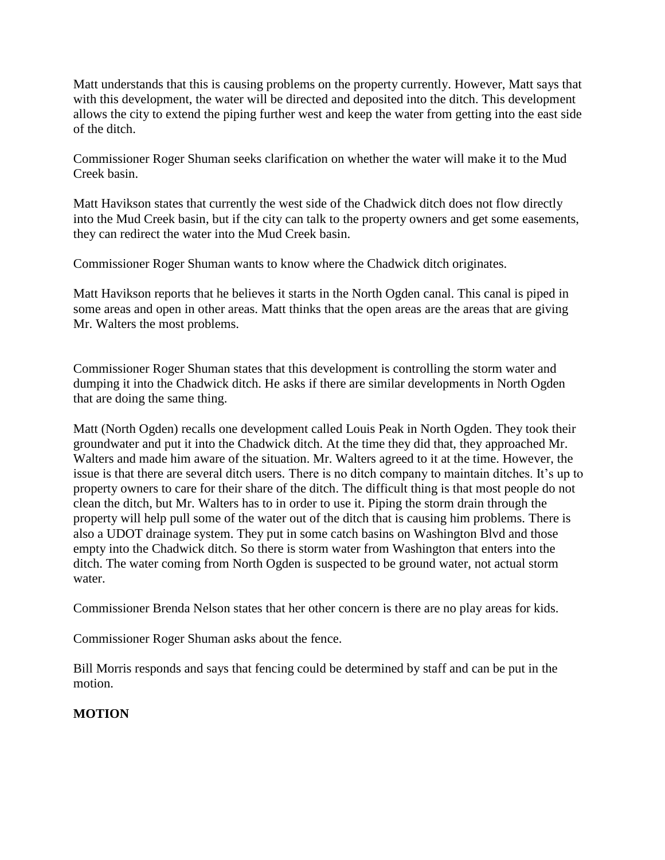Matt understands that this is causing problems on the property currently. However, Matt says that with this development, the water will be directed and deposited into the ditch. This development allows the city to extend the piping further west and keep the water from getting into the east side of the ditch.

Commissioner Roger Shuman seeks clarification on whether the water will make it to the Mud Creek basin.

Matt Havikson states that currently the west side of the Chadwick ditch does not flow directly into the Mud Creek basin, but if the city can talk to the property owners and get some easements, they can redirect the water into the Mud Creek basin.

Commissioner Roger Shuman wants to know where the Chadwick ditch originates.

Matt Havikson reports that he believes it starts in the North Ogden canal. This canal is piped in some areas and open in other areas. Matt thinks that the open areas are the areas that are giving Mr. Walters the most problems.

Commissioner Roger Shuman states that this development is controlling the storm water and dumping it into the Chadwick ditch. He asks if there are similar developments in North Ogden that are doing the same thing.

Matt (North Ogden) recalls one development called Louis Peak in North Ogden. They took their groundwater and put it into the Chadwick ditch. At the time they did that, they approached Mr. Walters and made him aware of the situation. Mr. Walters agreed to it at the time. However, the issue is that there are several ditch users. There is no ditch company to maintain ditches. It's up to property owners to care for their share of the ditch. The difficult thing is that most people do not clean the ditch, but Mr. Walters has to in order to use it. Piping the storm drain through the property will help pull some of the water out of the ditch that is causing him problems. There is also a UDOT drainage system. They put in some catch basins on Washington Blvd and those empty into the Chadwick ditch. So there is storm water from Washington that enters into the ditch. The water coming from North Ogden is suspected to be ground water, not actual storm water.

Commissioner Brenda Nelson states that her other concern is there are no play areas for kids.

Commissioner Roger Shuman asks about the fence.

Bill Morris responds and says that fencing could be determined by staff and can be put in the motion.

# **MOTION**